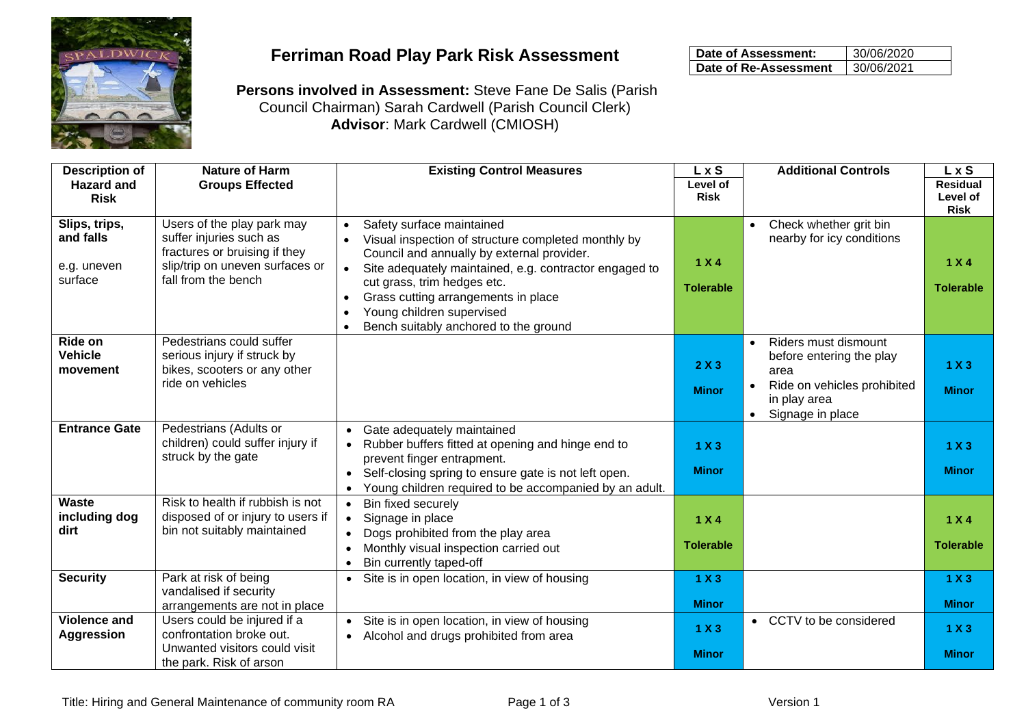

## **Ferriman Road Play Park Risk Assessment**

| Date of Assessment:   | 30/06/2020 |
|-----------------------|------------|
| Date of Re-Assessment | 30/06/2021 |

**Persons involved in Assessment:** Steve Fane De Salis (Parish Council Chairman) Sarah Cardwell (Parish Council Clerk) **Advisor**: Mark Cardwell (CMIOSH)

| <b>Description of</b><br><b>Hazard and</b>           | <b>Nature of Harm</b><br><b>Groups Effected</b>                                                                                                  | <b>Existing Control Measures</b>                                                                                                                                                                                                                                                                                                                                            | L x S<br>Level of         | <b>Additional Controls</b>                                                                                                                                         | L x S<br><b>Residual</b>  |
|------------------------------------------------------|--------------------------------------------------------------------------------------------------------------------------------------------------|-----------------------------------------------------------------------------------------------------------------------------------------------------------------------------------------------------------------------------------------------------------------------------------------------------------------------------------------------------------------------------|---------------------------|--------------------------------------------------------------------------------------------------------------------------------------------------------------------|---------------------------|
| <b>Risk</b>                                          |                                                                                                                                                  |                                                                                                                                                                                                                                                                                                                                                                             | <b>Risk</b>               |                                                                                                                                                                    | Level of<br><b>Risk</b>   |
| Slips, trips,<br>and falls<br>e.g. uneven<br>surface | Users of the play park may<br>suffer injuries such as<br>fractures or bruising if they<br>slip/trip on uneven surfaces or<br>fall from the bench | Safety surface maintained<br>$\bullet$<br>Visual inspection of structure completed monthly by<br>Council and annually by external provider.<br>Site adequately maintained, e.g. contractor engaged to<br>cut grass, trim hedges etc.<br>Grass cutting arrangements in place<br>$\bullet$<br>Young children supervised<br>Bench suitably anchored to the ground<br>$\bullet$ | 1 X 4<br><b>Tolerable</b> | Check whether grit bin<br>$\bullet$<br>nearby for icy conditions                                                                                                   | 1 X 4<br><b>Tolerable</b> |
| Ride on<br><b>Vehicle</b><br>movement                | Pedestrians could suffer<br>serious injury if struck by<br>bikes, scooters or any other<br>ride on vehicles                                      |                                                                                                                                                                                                                                                                                                                                                                             | 2X3<br><b>Minor</b>       | Riders must dismount<br>$\bullet$<br>before entering the play<br>area<br>Ride on vehicles prohibited<br>$\bullet$<br>in play area<br>Signage in place<br>$\bullet$ | 1 X3<br><b>Minor</b>      |
| <b>Entrance Gate</b>                                 | Pedestrians (Adults or<br>children) could suffer injury if<br>struck by the gate                                                                 | Gate adequately maintained<br>$\bullet$<br>Rubber buffers fitted at opening and hinge end to<br>$\bullet$<br>prevent finger entrapment.<br>Self-closing spring to ensure gate is not left open.<br>$\bullet$<br>Young children required to be accompanied by an adult.<br>$\bullet$                                                                                         | 1 X3<br><b>Minor</b>      |                                                                                                                                                                    | 1 X3<br><b>Minor</b>      |
| <b>Waste</b><br>including dog<br>dirt                | Risk to health if rubbish is not<br>disposed of or injury to users if<br>bin not suitably maintained                                             | Bin fixed securely<br>$\bullet$<br>Signage in place<br>$\bullet$<br>Dogs prohibited from the play area<br>$\bullet$<br>Monthly visual inspection carried out<br>$\bullet$<br>Bin currently taped-off<br>$\bullet$                                                                                                                                                           | 1 X 4<br><b>Tolerable</b> |                                                                                                                                                                    | 1 X 4<br><b>Tolerable</b> |
| <b>Security</b>                                      | Park at risk of being<br>vandalised if security<br>arrangements are not in place                                                                 | Site is in open location, in view of housing<br>$\bullet$                                                                                                                                                                                                                                                                                                                   | 1 X3<br><b>Minor</b>      |                                                                                                                                                                    | 1 X3<br><b>Minor</b>      |
| <b>Violence and</b><br><b>Aggression</b>             | Users could be injured if a<br>confrontation broke out.<br>Unwanted visitors could visit<br>the park. Risk of arson                              | Site is in open location, in view of housing<br>$\bullet$<br>Alcohol and drugs prohibited from area<br>$\bullet$                                                                                                                                                                                                                                                            | 1 X3<br><b>Minor</b>      | CCTV to be considered<br>$\bullet$                                                                                                                                 | 1 X3<br><b>Minor</b>      |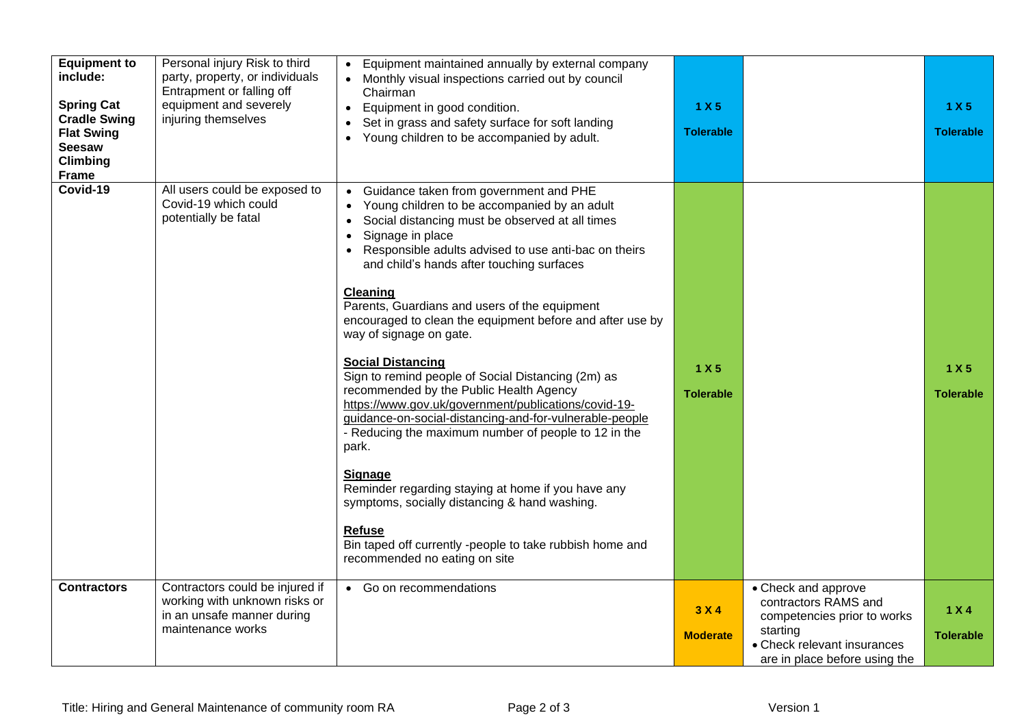| <b>Equipment to</b><br>include:<br><b>Spring Cat</b><br><b>Cradle Swing</b><br><b>Flat Swing</b><br><b>Seesaw</b><br>Climbing<br><b>Frame</b> | Personal injury Risk to third<br>party, property, or individuals<br>Entrapment or falling off<br>equipment and severely<br>injuring themselves | • Equipment maintained annually by external company<br>Monthly visual inspections carried out by council<br>Chairman<br>Equipment in good condition.<br>$\bullet$<br>Set in grass and safety surface for soft landing<br>Young children to be accompanied by adult.<br>$\bullet$                                                                                                                                                                                                                                                                                                                                                                                                                                                                                                                                                                                                                                                                                                                          | 1 X 5<br><b>Tolerable</b> |                                                                                                                                                        | 1 X 5<br><b>Tolerable</b> |
|-----------------------------------------------------------------------------------------------------------------------------------------------|------------------------------------------------------------------------------------------------------------------------------------------------|-----------------------------------------------------------------------------------------------------------------------------------------------------------------------------------------------------------------------------------------------------------------------------------------------------------------------------------------------------------------------------------------------------------------------------------------------------------------------------------------------------------------------------------------------------------------------------------------------------------------------------------------------------------------------------------------------------------------------------------------------------------------------------------------------------------------------------------------------------------------------------------------------------------------------------------------------------------------------------------------------------------|---------------------------|--------------------------------------------------------------------------------------------------------------------------------------------------------|---------------------------|
| Covid-19                                                                                                                                      | All users could be exposed to<br>Covid-19 which could<br>potentially be fatal                                                                  | Guidance taken from government and PHE<br>Young children to be accompanied by an adult<br>Social distancing must be observed at all times<br>$\bullet$<br>Signage in place<br>$\bullet$<br>Responsible adults advised to use anti-bac on theirs<br>and child's hands after touching surfaces<br><b>Cleaning</b><br>Parents, Guardians and users of the equipment<br>encouraged to clean the equipment before and after use by<br>way of signage on gate.<br><b>Social Distancing</b><br>Sign to remind people of Social Distancing (2m) as<br>recommended by the Public Health Agency<br>https://www.gov.uk/government/publications/covid-19-<br>guidance-on-social-distancing-and-for-vulnerable-people<br>- Reducing the maximum number of people to 12 in the<br>park.<br>Signage<br>Reminder regarding staying at home if you have any<br>symptoms, socially distancing & hand washing.<br><b>Refuse</b><br>Bin taped off currently -people to take rubbish home and<br>recommended no eating on site | 1 X 5<br><b>Tolerable</b> |                                                                                                                                                        | 1 X 5<br><b>Tolerable</b> |
| <b>Contractors</b>                                                                                                                            | Contractors could be injured if<br>working with unknown risks or<br>in an unsafe manner during<br>maintenance works                            | • Go on recommendations                                                                                                                                                                                                                                                                                                                                                                                                                                                                                                                                                                                                                                                                                                                                                                                                                                                                                                                                                                                   | 3 X 4<br><b>Moderate</b>  | • Check and approve<br>contractors RAMS and<br>competencies prior to works<br>starting<br>• Check relevant insurances<br>are in place before using the | 1 X 4<br><b>Tolerable</b> |